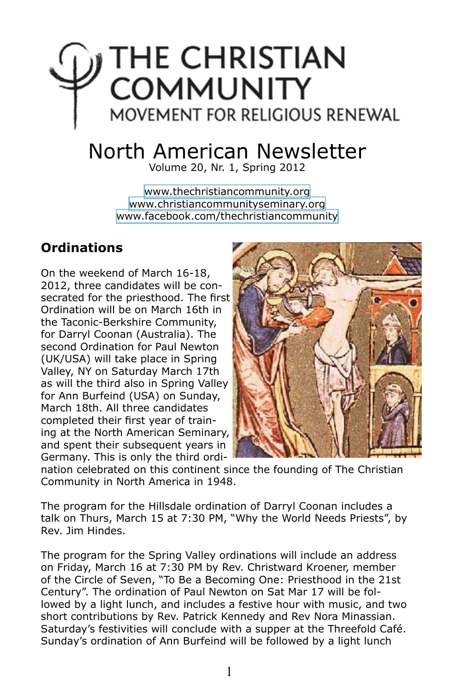# $\bigcap$  THE CHRISTIAN **COMMUNITY** MOVEMENT FOR RELIGIOUS RENEWAL

## North American Newsletter

Volume 20, Nr. 1, Spring 2012

[www.thechristiancommunity.org](http://www.thechristiancommunity.org) [www.christiancommunityseminary.org](http://www.christiancommunityseminary.org) [www.facebook.com/thechristiancommunity](http://www.facebook.com/thechristiancommunity)

## **Ordinations**

On the weekend of March 16-18, 2012, three candidates will be consecrated for the priesthood. The first Ordination will be on March 16th in the Taconic-Berkshire Community, for Darryl Coonan (Australia). The second Ordination for Paul Newton (UK/USA) will take place in Spring Valley, NY on Saturday March 17th as will the third also in Spring Valley for Ann Burfeind (USA) on Sunday, March 18th. All three candidates completed their first year of training at the North American Seminary, and spent their subsequent years in Germany. This is only the third ordi-



nation celebrated on this continent since the founding of The Christian Community in North America in 1948.

The program for the Hillsdale ordination of Darryl Coonan includes a talk on Thurs, March 15 at 7:30 PM, "Why the World Needs Priests", by Rev. Jim Hindes.

The program for the Spring Valley ordinations will include an address on Friday, March 16 at 7:30 PM by Rev. Christward Kroener, member of the Circle of Seven, "To Be a Becoming One: Priesthood in the 21st Century". The ordination of Paul Newton on Sat Mar 17 will be followed by a light lunch, and includes a festive hour with music, and two short contributions by Rev. Patrick Kennedy and Rev Nora Minassian. Saturday's festivities will conclude with a supper at the Threefold Café. Sunday's ordination of Ann Burfeind will be followed by a light lunch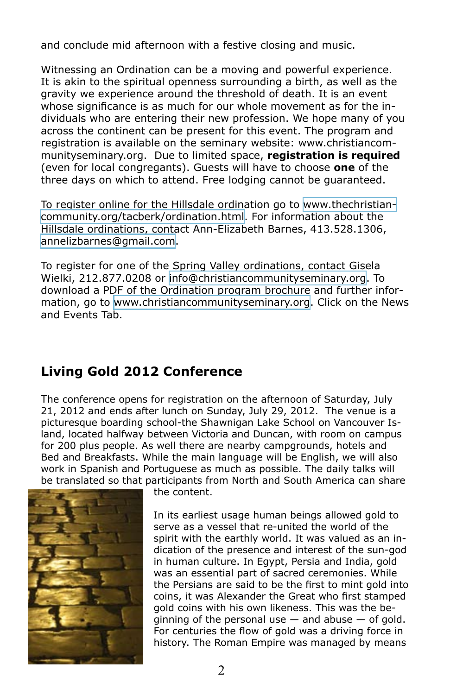and conclude mid afternoon with a festive closing and music.

Witnessing an Ordination can be a moving and powerful experience. It is akin to the spiritual openness surrounding a birth, as well as the gravity we experience around the threshold of death. It is an event whose significance is as much for our whole movement as for the individuals who are entering their new profession. We hope many of you across the continent can be present for this event. The program and registration is available on the seminary website: www.christiancommunityseminary.org. Due to limited space, **registration is required** (even for local congregants). Guests will have to choose **one** of the three days on which to attend. Free lodging cannot be guaranteed.

To register online for the Hillsdale ordination go to [www.thechristian](http://www.thechristiancommunity.org/tacberk/ordination.html)[community.org/tacberk/ordination.html](http://www.thechristiancommunity.org/tacberk/ordination.html). For information about the Hillsdale ordinations, contact Ann-Elizabeth Barnes, 413.528.1306, [annelizbarnes@gmail.com](mailto:annelizbarnes@gmail.com).

To register for one of the Spring Valley ordinations, contact Gisela Wielki, 212.877.0208 or [info@christiancommunityseminary.org](mailto:info@christiancommunityseminary.org). To download a PDF of the Ordination program brochure and further information, go to [www.christiancommunityseminary.org.](http://www.christiancommunityseminary.org) Click on the News and Events Tab.

## **Living Gold 2012 Conference**

The conference opens for registration on the afternoon of Saturday, July 21, 2012 and ends after lunch on Sunday, July 29, 2012. The venue is a picturesque boarding school-the Shawnigan Lake School on Vancouver Island, located halfway between Victoria and Duncan, with room on campus for 200 plus people. As well there are nearby campgrounds, hotels and Bed and Breakfasts. While the main language will be English, we will also work in Spanish and Portuguese as much as possible. The daily talks will be translated so that participants from North and South America can share



the content.

In its earliest usage human beings allowed gold to serve as a vessel that re-united the world of the spirit with the earthly world. It was valued as an indication of the presence and interest of the sun-god in human culture. In Egypt, Persia and India, gold was an essential part of sacred ceremonies. While the Persians are said to be the first to mint gold into coins, it was Alexander the Great who first stamped gold coins with his own likeness. This was the beginning of the personal use  $-$  and abuse  $-$  of gold. For centuries the flow of gold was a driving force in history. The Roman Empire was managed by means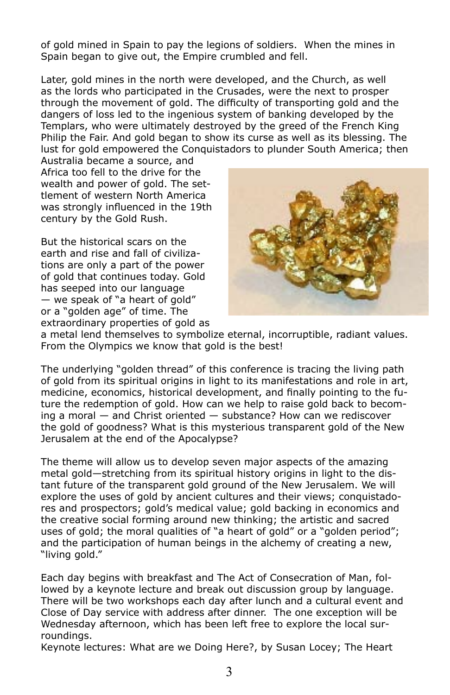of gold mined in Spain to pay the legions of soldiers. When the mines in Spain began to give out, the Empire crumbled and fell.

Later, gold mines in the north were developed, and the Church, as well as the lords who participated in the Crusades, were the next to prosper through the movement of gold. The difficulty of transporting gold and the dangers of loss led to the ingenious system of banking developed by the Templars, who were ultimately destroyed by the greed of the French King Philip the Fair. And gold began to show its curse as well as its blessing. The lust for gold empowered the Conquistadors to plunder South America; then

Australia became a source, and Africa too fell to the drive for the wealth and power of gold. The settlement of western North America was strongly influenced in the 19th century by the Gold Rush.

But the historical scars on the earth and rise and fall of civilizations are only a part of the power of gold that continues today. Gold has seeped into our language — we speak of "a heart of gold" or a "golden age" of time. The extraordinary properties of gold as



a metal lend themselves to symbolize eternal, incorruptible, radiant values. From the Olympics we know that gold is the best!

The underlying "golden thread" of this conference is tracing the living path of gold from its spiritual origins in light to its manifestations and role in art, medicine, economics, historical development, and finally pointing to the future the redemption of gold. How can we help to raise gold back to becoming a moral — and Christ oriented — substance? How can we rediscover the gold of goodness? What is this mysterious transparent gold of the New Jerusalem at the end of the Apocalypse?

The theme will allow us to develop seven major aspects of the amazing metal gold—stretching from its spiritual history origins in light to the distant future of the transparent gold ground of the New Jerusalem. We will explore the uses of gold by ancient cultures and their views; conquistadores and prospectors; gold's medical value; gold backing in economics and the creative social forming around new thinking; the artistic and sacred uses of gold; the moral qualities of "a heart of gold" or a "golden period"; and the participation of human beings in the alchemy of creating a new, "living gold."

Each day begins with breakfast and The Act of Consecration of Man, followed by a keynote lecture and break out discussion group by language. There will be two workshops each day after lunch and a cultural event and Close of Day service with address after dinner. The one exception will be Wednesday afternoon, which has been left free to explore the local surroundings.

Keynote lectures: What are we Doing Here?, by Susan Locey; The Heart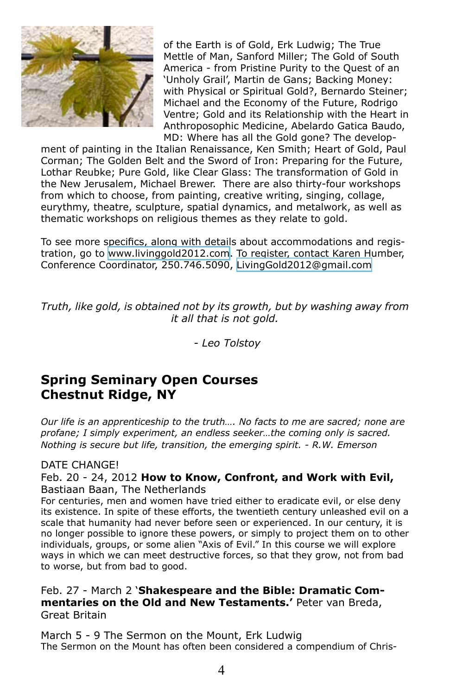

of the Earth is of Gold, Erk Ludwig; The True Mettle of Man, Sanford Miller; The Gold of South America - from Pristine Purity to the Quest of an 'Unholy Grail', Martin de Gans; Backing Money: with Physical or Spiritual Gold?, Bernardo Steiner; Michael and the Economy of the Future, Rodrigo Ventre; Gold and its Relationship with the Heart in Anthroposophic Medicine, Abelardo Gatica Baudo, MD: Where has all the Gold gone? The develop-

ment of painting in the Italian Renaissance, Ken Smith; Heart of Gold, Paul Corman; The Golden Belt and the Sword of Iron: Preparing for the Future, Lothar Reubke; Pure Gold, like Clear Glass: The transformation of Gold in the New Jerusalem, Michael Brewer. There are also thirty-four workshops from which to choose, from painting, creative writing, singing, collage, eurythmy, theatre, sculpture, spatial dynamics, and metalwork, as well as thematic workshops on religious themes as they relate to gold.

To see more specifics, along with details about accommodations and registration, go to [www.livinggold2012.com](http://www.livinggold2012.com). To register, contact Karen Humber, Conference Coordinator, 250.746.5090, [LivingGold2012@gmail.com](mailto:livinggold2012@gmail.com)

*Truth, like gold, is obtained not by its growth, but by washing away from it all that is not gold.*

*- Leo Tolstoy*

## **Spring Seminary Open Courses Chestnut Ridge, NY**

*Our life is an apprenticeship to the truth…. No facts to me are sacred; none are profane; I simply experiment, an endless seeker…the coming only is sacred. Nothing is secure but life, transition, the emerging spirit. - R.W. Emerson* 

#### DATE CHANGE!

#### Feb. 20 - 24, 2012 **How to Know, Confront, and Work with Evil,** Bastiaan Baan, The Netherlands

For centuries, men and women have tried either to eradicate evil, or else deny its existence. In spite of these efforts, the twentieth century unleashed evil on a scale that humanity had never before seen or experienced. In our century, it is no longer possible to ignore these powers, or simply to project them on to other individuals, groups, or some alien "Axis of Evil." In this course we will explore ways in which we can meet destructive forces, so that they grow, not from bad to worse, but from bad to good.

Feb. 27 - March 2 '**Shakespeare and the Bible: Dramatic Commentaries on the Old and New Testaments.'** Peter van Breda, Great Britain

March 5 - 9 The Sermon on the Mount, Erk Ludwig The Sermon on the Mount has often been considered a compendium of Chris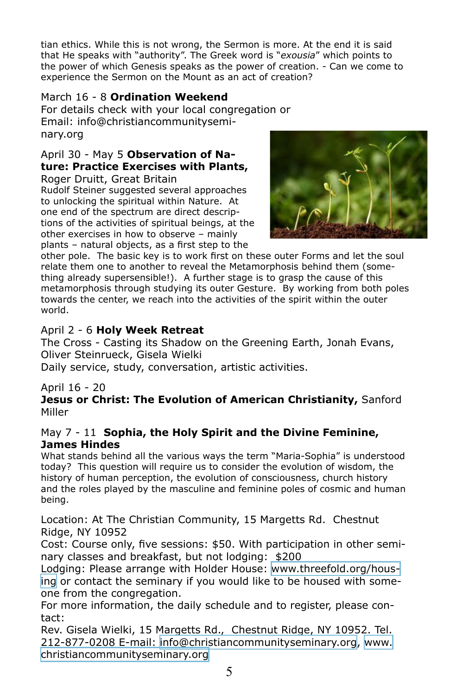tian ethics. While this is not wrong, the Sermon is more. At the end it is said that He speaks with "authority". The Greek word is "*exousia*" which points to the power of which Genesis speaks as the power of creation. - Can we come to experience the Sermon on the Mount as an act of creation?

## March 16 - 8 **Ordination Weekend**

For details check with your local congregation or Email: info@christiancommunityseminary.org

## April 30 - May 5 **Observation of Nature: Practice Exercises with Plants,**

Roger Druitt, Great Britain Rudolf Steiner suggested several approaches to unlocking the spiritual within Nature. At one end of the spectrum are direct descriptions of the activities of spiritual beings, at the other exercises in how to observe – mainly plants – natural objects, as a first step to the



other pole. The basic key is to work first on these outer Forms and let the soul relate them one to another to reveal the Metamorphosis behind them (something already supersensible!). A further stage is to grasp the cause of this metamorphosis through studying its outer Gesture. By working from both poles towards the center, we reach into the activities of the spirit within the outer world.

## April 2 - 6 **Holy Week Retreat**

The Cross - Casting its Shadow on the Greening Earth, Jonah Evans, Oliver Steinrueck, Gisela Wielki

Daily service, study, conversation, artistic activities.

#### April 16 - 20

**Jesus or Christ: The Evolution of American Christianity,** Sanford Miller

#### May 7 - 11 **Sophia, the Holy Spirit and the Divine Feminine, James Hindes**

What stands behind all the various ways the term "Maria-Sophia" is understood today? This question will require us to consider the evolution of wisdom, the history of human perception, the evolution of consciousness, church history and the roles played by the masculine and feminine poles of cosmic and human being.

Location: At The Christian Community, 15 Margetts Rd. Chestnut Ridge, NY 10952

Cost: Course only, five sessions: \$50. With participation in other seminary classes and breakfast, but not lodging: \$200

Lodging: Please arrange with Holder House: [www.threefold.org/hous](http://www.threefold.org/housing)[ing](http://www.threefold.org/housing) or contact the seminary if you would like to be housed with someone from the congregation.

For more information, the daily schedule and to register, please contact:

Rev. Gisela Wielki, 15 Margetts Rd., Chestnut Ridge, NY 10952. Tel. 212-877-0208 E-mail: [info@christiancommunityseminary.org](mailto:info@christiancommunityseminary.org), [www.](http://www.christiancommunityseminary.org) [christiancommunityseminary.org](http://www.christiancommunityseminary.org)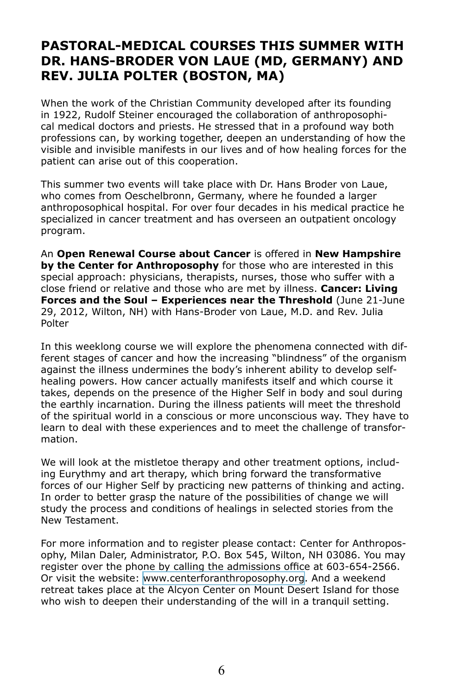## **PASTORAL-MEDICAL COURSES THIS SUMMER WITH DR. HANS-BRODER VON LAUE (MD, GERMANY) AND REV. JULIA POLTER (BOSTON, MA)**

When the work of the Christian Community developed after its founding in 1922, Rudolf Steiner encouraged the collaboration of anthroposophical medical doctors and priests. He stressed that in a profound way both professions can, by working together, deepen an understanding of how the visible and invisible manifests in our lives and of how healing forces for the patient can arise out of this cooperation.

This summer two events will take place with Dr. Hans Broder von Laue, who comes from Oeschelbronn, Germany, where he founded a larger anthroposophical hospital. For over four decades in his medical practice he specialized in cancer treatment and has overseen an outpatient oncology program.

An **Open Renewal Course about Cancer** is offered in **New Hampshire by the Center for Anthroposophy** for those who are interested in this special approach: physicians, therapists, nurses, those who suffer with a close friend or relative and those who are met by illness. **Cancer: Living Forces and the Soul – Experiences near the Threshold** (June 21-June 29, 2012, Wilton, NH) with Hans-Broder von Laue, M.D. and Rev. Julia Polter

In this weeklong course we will explore the phenomena connected with different stages of cancer and how the increasing "blindness" of the organism against the illness undermines the body's inherent ability to develop selfhealing powers. How cancer actually manifests itself and which course it takes, depends on the presence of the Higher Self in body and soul during the earthly incarnation. During the illness patients will meet the threshold of the spiritual world in a conscious or more unconscious way. They have to learn to deal with these experiences and to meet the challenge of transformation.

We will look at the mistletoe therapy and other treatment options, including Eurythmy and art therapy, which bring forward the transformative forces of our Higher Self by practicing new patterns of thinking and acting. In order to better grasp the nature of the possibilities of change we will study the process and conditions of healings in selected stories from the New Testament.

For more information and to register please contact: Center for Anthroposophy, Milan Daler, Administrator, P.O. Box 545, Wilton, NH 03086. You may register over the phone by calling the admissions office at 603-654-2566. Or visit the website: [www.centerforanthroposophy.org](http://www.centerforanthroposophy.org/programs/renewal-courses/week-one/cancer-living-forces-and-the-soul/). And a weekend retreat takes place at the Alcyon Center on Mount Desert Island for those who wish to deepen their understanding of the will in a tranquil setting.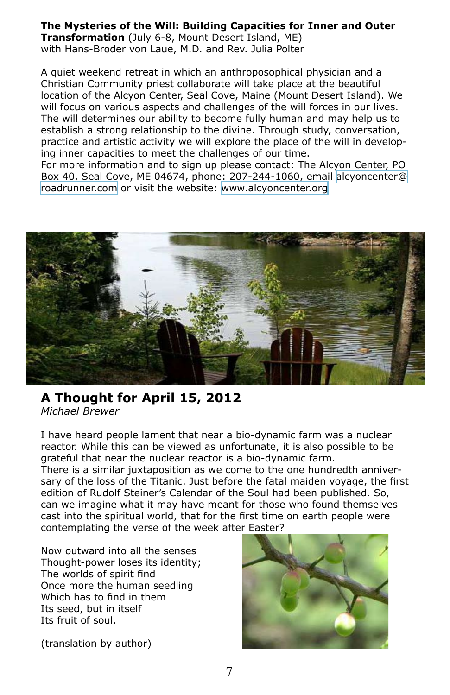#### **The Mysteries of the Will: Building Capacities for Inner and Outer Transformation** (July 6-8, Mount Desert Island, ME) with Hans-Broder von Laue, M.D. and Rev. Julia Polter

A quiet weekend retreat in which an anthroposophical physician and a Christian Community priest collaborate will take place at the beautiful location of the Alcyon Center, Seal Cove, Maine (Mount Desert Island). We will focus on various aspects and challenges of the will forces in our lives. The will determines our ability to become fully human and may help us to establish a strong relationship to the divine. Through study, conversation, practice and artistic activity we will explore the place of the will in developing inner capacities to meet the challenges of our time.

For more information and to sign up please contact: The Alcyon Center, PO Box 40, Seal Cove, ME 04674, phone: 207-244-1060, email [alcyoncenter@](mailto:alcyoncenter@roadrunner.com) [roadrunner.com](mailto:alcyoncenter@roadrunner.com) or visit the website: [www.alcyoncenter.org](http://www.alcyoncenter.org)



#### **A Thought for April 15, 2012** *Michael Brewer*

I have heard people lament that near a bio-dynamic farm was a nuclear reactor. While this can be viewed as unfortunate, it is also possible to be grateful that near the nuclear reactor is a bio-dynamic farm.

There is a similar juxtaposition as we come to the one hundredth anniversary of the loss of the Titanic. Just before the fatal maiden voyage, the first edition of Rudolf Steiner's Calendar of the Soul had been published. So, can we imagine what it may have meant for those who found themselves cast into the spiritual world, that for the first time on earth people were contemplating the verse of the week after Easter?

Now outward into all the senses Thought-power loses its identity; The worlds of spirit find Once more the human seedling Which has to find in them Its seed, but in itself Its fruit of soul.



(translation by author)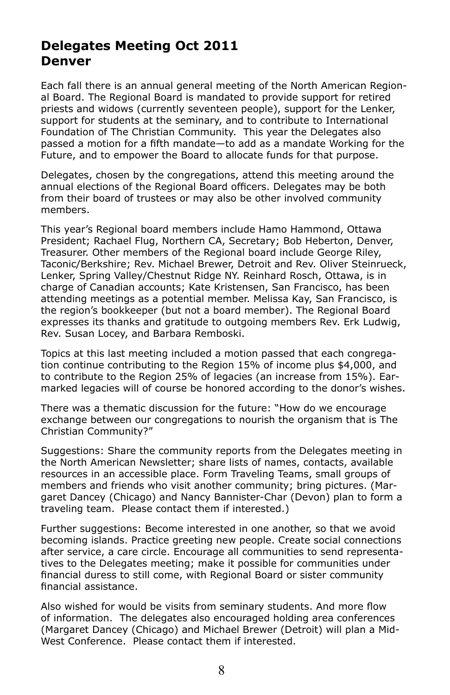## **Delegates Meeting Oct 2011 Denver**

Each fall there is an annual general meeting of the North American Regional Board. The Regional Board is mandated to provide support for retired priests and widows (currently seventeen people), support for the Lenker, support for students at the seminary, and to contribute to International Foundation of The Christian Community. This year the Delegates also passed a motion for a fifth mandate—to add as a mandate Working for the Future, and to empower the Board to allocate funds for that purpose.

Delegates, chosen by the congregations, attend this meeting around the annual elections of the Regional Board officers. Delegates may be both from their board of trustees or may also be other involved community members.

This year's Regional board members include Hamo Hammond, Ottawa President; Rachael Flug, Northern CA, Secretary; Bob Heberton, Denver, Treasurer. Other members of the Regional board include George Riley, Taconic/Berkshire; Rev. Michael Brewer, Detroit and Rev. Oliver Steinrueck, Lenker, Spring Valley/Chestnut Ridge NY. Reinhard Rosch, Ottawa, is in charge of Canadian accounts; Kate Kristensen, San Francisco, has been attending meetings as a potential member. Melissa Kay, San Francisco, is the region's bookkeeper (but not a board member). The Regional Board expresses its thanks and gratitude to outgoing members Rev. Erk Ludwig, Rev. Susan Locey, and Barbara Remboski.

Topics at this last meeting included a motion passed that each congregation continue contributing to the Region 15% of income plus \$4,000, and to contribute to the Region 25% of legacies (an increase from 15%). Earmarked legacies will of course be honored according to the donor's wishes.

There was a thematic discussion for the future: "How do we encourage exchange between our congregations to nourish the organism that is The Christian Community?"

Suggestions: Share the community reports from the Delegates meeting in the North American Newsletter; share lists of names, contacts, available resources in an accessible place. Form Traveling Teams, small groups of members and friends who visit another community; bring pictures. (Margaret Dancey (Chicago) and Nancy Bannister-Char (Devon) plan to form a traveling team. Please contact them if interested.)

Further suggestions: Become interested in one another, so that we avoid becoming islands. Practice greeting new people. Create social connections after service, a care circle. Encourage all communities to send representatives to the Delegates meeting; make it possible for communities under financial duress to still come, with Regional Board or sister community financial assistance.

Also wished for would be visits from seminary students. And more flow of information. The delegates also encouraged holding area conferences (Margaret Dancey (Chicago) and Michael Brewer (Detroit) will plan a Mid-West Conference. Please contact them if interested.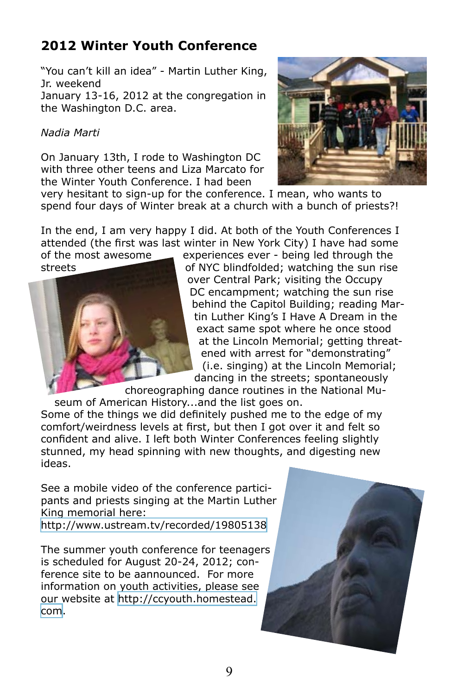## **2012 Winter Youth Conference**

"You can't kill an idea" - Martin Luther King, Jr. weekend

January 13-16, 2012 at the congregation in the Washington D.C. area.

#### *Nadia Marti*

On January 13th, I rode to Washington DC with three other teens and Liza Marcato for the Winter Youth Conference. I had been



very hesitant to sign-up for the conference. I mean, who wants to spend four days of Winter break at a church with a bunch of priests?!

In the end, I am very happy I did. At both of the Youth Conferences I attended (the first was last winter in New York City) I have had some of the most awesome  $\equiv$  experiences ever - being led through the



streets **of NYC blindfolded;** watching the sun rise over Central Park; visiting the Occupy DC encampment; watching the sun rise behind the Capitol Building; reading Martin Luther King's I Have A Dream in the exact same spot where he once stood at the Lincoln Memorial; getting threatened with arrest for "demonstrating" (i.e. singing) at the Lincoln Memorial; dancing in the streets; spontaneously

choreographing dance routines in the National Museum of American History...and the list goes on.

Some of the things we did definitely pushed me to the edge of my comfort/weirdness levels at first, but then I got over it and felt so confident and alive. I left both Winter Conferences feeling slightly stunned, my head spinning with new thoughts, and digesting new ideas.

See a mobile video of the conference participants and priests singing at the Martin Luther King memorial here:

<http://www.ustream.tv/recorded/19805138>

The summer youth conference for teenagers is scheduled for August 20-24, 2012; conference site to be aannounced. For more information on youth activities, please see our website at [http://ccyouth.homestead.](http://ccyouth.homestead.com) [com.](http://ccyouth.homestead.com)

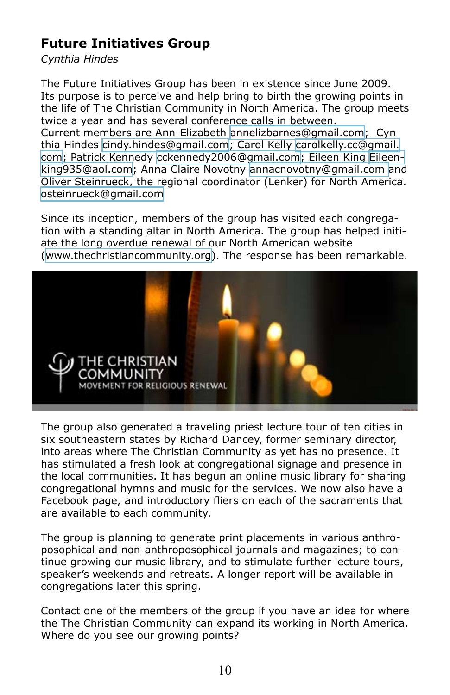## **Future Initiatives Group**

#### *Cynthia Hindes*

The Future Initiatives Group has been in existence since June 2009. Its purpose is to perceive and help bring to birth the growing points in the life of The Christian Community in North America. The group meets twice a year and has several conference calls in between. Current members are Ann-Elizabeth [annelizbarnes@gmail.com;](mailto:annelizbarnes@gmail.com) Cynthia Hindes [cindy.hindes@gmail.com;](mailto:annelizbarnes@gmail.com) Carol Kelly [carolkelly.cc@gmail.](mailto:carolkelly.cc@gmail.com) [com;](mailto:carolkelly.cc@gmail.com) Patrick Kennedy [cckennedy2006@gmail.com](mailto:cckennedy2006@gmail.com); Eileen King [Eileen](mailto:Eileenking935@aol.com)[king935@aol.com;](mailto:Eileenking935@aol.com) Anna Claire Novotny [annacnovotny@gmail.com](mailto:annacnovotny@gmail.com ) and Oliver Steinrueck, the regional coordinator (Lenker) for North America. [osteinrueck@gmail.com](mailto:osteinrueck@gmail.com)

Since its inception, members of the group has visited each congregation with a standing altar in North America. The group has helped initiate the long overdue renewal of our North American website [\(www.thechristiancommunity.org\)](http://www.thechristiancommunity.org). The response has been remarkable.



The group also generated a traveling priest lecture tour of ten cities in six southeastern states by Richard Dancey, former seminary director, into areas where The Christian Community as yet has no presence. It has stimulated a fresh look at congregational signage and presence in the local communities. It has begun an online music library for sharing congregational hymns and music for the services. We now also have a Facebook page, and introductory fliers on each of the sacraments that are available to each community.

The group is planning to generate print placements in various anthroposophical and non-anthroposophical journals and magazines; to continue growing our music library, and to stimulate further lecture tours, speaker's weekends and retreats. A longer report will be available in congregations later this spring.

Contact one of the members of the group if you have an idea for where the The Christian Community can expand its working in North America. Where do you see our growing points?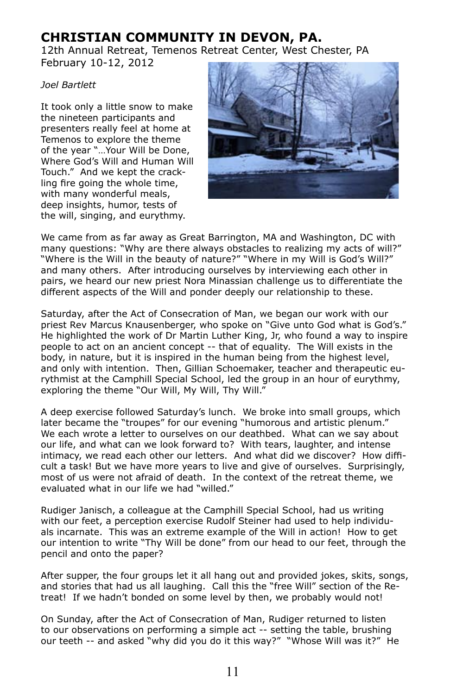## **CHRISTIAN COMMUNITY IN DEVON, PA.**

12th Annual Retreat, Temenos Retreat Center, West Chester, PA February 10-12, 2012

#### *Joel Bartlett*

It took only a little snow to make the nineteen participants and presenters really feel at home at Temenos to explore the theme of the year "…Your Will be Done, Where God's Will and Human Will Touch." And we kept the crackling fire going the whole time, with many wonderful meals, deep insights, humor, tests of the will, singing, and eurythmy.



We came from as far away as Great Barrington, MA and Washington, DC with many questions: "Why are there always obstacles to realizing my acts of will?" "Where is the Will in the beauty of nature?" "Where in my Will is God's Will?" and many others. After introducing ourselves by interviewing each other in pairs, we heard our new priest Nora Minassian challenge us to differentiate the different aspects of the Will and ponder deeply our relationship to these.

Saturday, after the Act of Consecration of Man, we began our work with our priest Rev Marcus Knausenberger, who spoke on "Give unto God what is God's." He highlighted the work of Dr Martin Luther King, Jr, who found a way to inspire people to act on an ancient concept -- that of equality. The Will exists in the body, in nature, but it is inspired in the human being from the highest level, and only with intention. Then, Gillian Schoemaker, teacher and therapeutic eurythmist at the Camphill Special School, led the group in an hour of eurythmy, exploring the theme "Our Will, My Will, Thy Will."

A deep exercise followed Saturday's lunch. We broke into small groups, which later became the "troupes" for our evening "humorous and artistic plenum." We each wrote a letter to ourselves on our deathbed. What can we say about our life, and what can we look forward to? With tears, laughter, and intense intimacy, we read each other our letters. And what did we discover? How difficult a task! But we have more years to live and give of ourselves. Surprisingly, most of us were not afraid of death. In the context of the retreat theme, we evaluated what in our life we had "willed."

Rudiger Janisch, a colleague at the Camphill Special School, had us writing with our feet, a perception exercise Rudolf Steiner had used to help individuals incarnate. This was an extreme example of the Will in action! How to get our intention to write "Thy Will be done" from our head to our feet, through the pencil and onto the paper?

After supper, the four groups let it all hang out and provided jokes, skits, songs, and stories that had us all laughing. Call this the "free Will" section of the Retreat! If we hadn't bonded on some level by then, we probably would not!

On Sunday, after the Act of Consecration of Man, Rudiger returned to listen to our observations on performing a simple act -- setting the table, brushing our teeth -- and asked "why did you do it this way?" "Whose Will was it?" He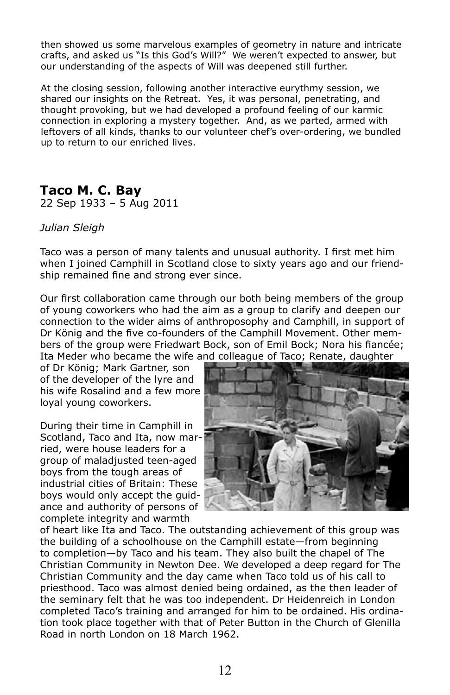then showed us some marvelous examples of geometry in nature and intricate crafts, and asked us "Is this God's Will?" We weren't expected to answer, but our understanding of the aspects of Will was deepened still further.

At the closing session, following another interactive eurythmy session, we shared our insights on the Retreat. Yes, it was personal, penetrating, and thought provoking, but we had developed a profound feeling of our karmic connection in exploring a mystery together. And, as we parted, armed with leftovers of all kinds, thanks to our volunteer chef's over-ordering, we bundled up to return to our enriched lives.

## **Taco M. C. Bay**

22 Sep 1933 – 5 Aug 2011

#### *Julian Sleigh*

Taco was a person of many talents and unusual authority. I first met him when I joined Camphill in Scotland close to sixty years ago and our friendship remained fine and strong ever since.

Our first collaboration came through our both being members of the group of young coworkers who had the aim as a group to clarify and deepen our connection to the wider aims of anthroposophy and Camphill, in support of Dr König and the five co-founders of the Camphill Movement. Other members of the group were Friedwart Bock, son of Emil Bock; Nora his fiancée; Ita Meder who became the wife and colleague of Taco; Renate, daughter

of Dr König; Mark Gartner, son of the developer of the lyre and his wife Rosalind and a few more loyal young coworkers.

During their time in Camphill in Scotland, Taco and Ita, now married, were house leaders for a group of maladjusted teen-aged boys from the tough areas of industrial cities of Britain: These boys would only accept the guidance and authority of persons of complete integrity and warmth



of heart like Ita and Taco. The outstanding achievement of this group was the building of a schoolhouse on the Camphill estate—from beginning to completion—by Taco and his team. They also built the chapel of The Christian Community in Newton Dee. We developed a deep regard for The Christian Community and the day came when Taco told us of his call to priesthood. Taco was almost denied being ordained, as the then leader of the seminary felt that he was too independent. Dr Heidenreich in London completed Taco's training and arranged for him to be ordained. His ordination took place together with that of Peter Button in the Church of Glenilla Road in north London on 18 March 1962.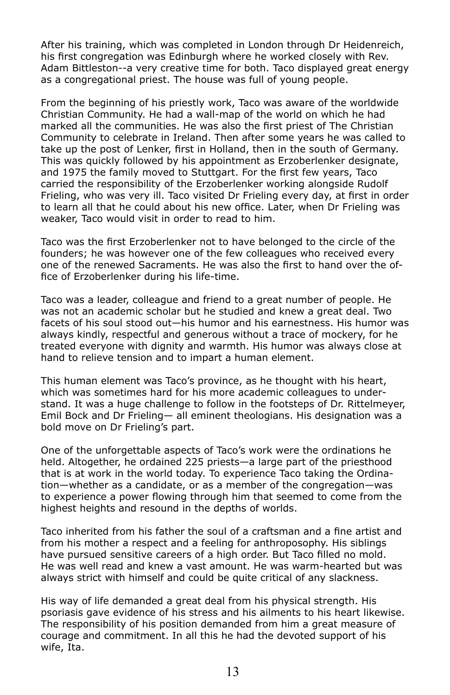After his training, which was completed in London through Dr Heidenreich, his first congregation was Edinburgh where he worked closely with Rev. Adam Bittleston--a very creative time for both. Taco displayed great energy as a congregational priest. The house was full of young people.

From the beginning of his priestly work, Taco was aware of the worldwide Christian Community. He had a wall-map of the world on which he had marked all the communities. He was also the first priest of The Christian Community to celebrate in Ireland. Then after some years he was called to take up the post of Lenker, first in Holland, then in the south of Germany. This was quickly followed by his appointment as Erzoberlenker designate, and 1975 the family moved to Stuttgart. For the first few years, Taco carried the responsibility of the Erzoberlenker working alongside Rudolf Frieling, who was very ill. Taco visited Dr Frieling every day, at first in order to learn all that he could about his new office. Later, when Dr Frieling was weaker, Taco would visit in order to read to him.

Taco was the first Erzoberlenker not to have belonged to the circle of the founders; he was however one of the few colleagues who received every one of the renewed Sacraments. He was also the first to hand over the office of Erzoberlenker during his life-time.

Taco was a leader, colleague and friend to a great number of people. He was not an academic scholar but he studied and knew a great deal. Two facets of his soul stood out—his humor and his earnestness. His humor was always kindly, respectful and generous without a trace of mockery, for he treated everyone with dignity and warmth. His humor was always close at hand to relieve tension and to impart a human element.

This human element was Taco's province, as he thought with his heart, which was sometimes hard for his more academic colleagues to understand. It was a huge challenge to follow in the footsteps of Dr. Rittelmeyer, Emil Bock and Dr Frieling— all eminent theologians. His designation was a bold move on Dr Frieling's part.

One of the unforgettable aspects of Taco's work were the ordinations he held. Altogether, he ordained 225 priests—a large part of the priesthood that is at work in the world today. To experience Taco taking the Ordination—whether as a candidate, or as a member of the congregation—was to experience a power flowing through him that seemed to come from the highest heights and resound in the depths of worlds.

Taco inherited from his father the soul of a craftsman and a fine artist and from his mother a respect and a feeling for anthroposophy. His siblings have pursued sensitive careers of a high order. But Taco filled no mold. He was well read and knew a vast amount. He was warm-hearted but was always strict with himself and could be quite critical of any slackness.

His way of life demanded a great deal from his physical strength. His psoriasis gave evidence of his stress and his ailments to his heart likewise. The responsibility of his position demanded from him a great measure of courage and commitment. In all this he had the devoted support of his wife, Ita.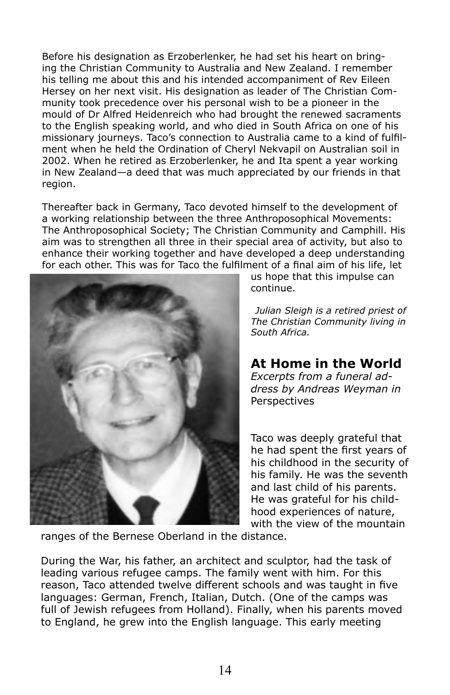Before his designation as Erzoberlenker, he had set his heart on bringing the Christian Community to Australia and New Zealand. I remember his telling me about this and his intended accompaniment of Rev Eileen Hersey on her next visit. His designation as leader of The Christian Community took precedence over his personal wish to be a pioneer in the mould of Dr Alfred Heidenreich who had brought the renewed sacraments to the English speaking world, and who died in South Africa on one of his missionary journeys. Taco's connection to Australia came to a kind of fulfilment when he held the Ordination of Cheryl Nekvapil on Australian soil in 2002. When he retired as Erzoberlenker, he and Ita spent a year working in New Zealand—a deed that was much appreciated by our friends in that region.

Thereafter back in Germany, Taco devoted himself to the development of a working relationship between the three Anthroposophical Movements: The Anthroposophical Society; The Christian Community and Camphill. His aim was to strengthen all three in their special area of activity, but also to enhance their working together and have developed a deep understanding for each other. This was for Taco the fulfilment of a final aim of his life, let



us hope that this impulse can continue.

*Julian Sleigh is a retired priest of The Christian Community living in South Africa.*

## **At Home in the World**

*Excerpts from a funeral address by Andreas Weyman in*  Perspectives

Taco was deeply grateful that he had spent the first years of his childhood in the security of his family. He was the seventh and last child of his parents. He was grateful for his childhood experiences of nature, with the view of the mountain

ranges of the Bernese Oberland in the distance.

During the War, his father, an architect and sculptor, had the task of leading various refugee camps. The family went with him. For this reason, Taco attended twelve different schools and was taught in five languages: German, French, Italian, Dutch. (One of the camps was full of Jewish refugees from Holland). Finally, when his parents moved to England, he grew into the English language. This early meeting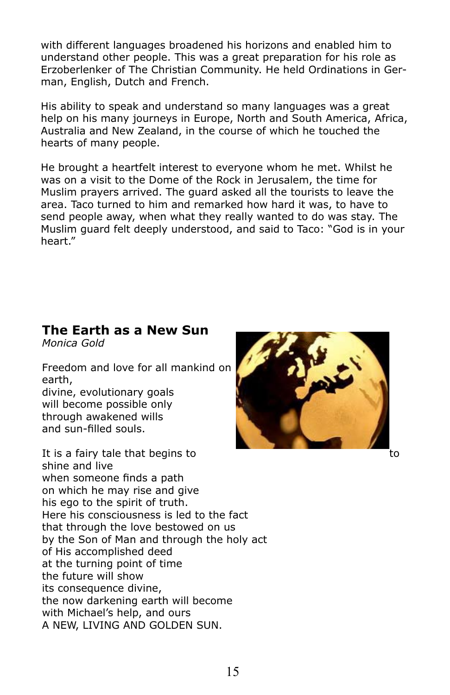with different languages broadened his horizons and enabled him to understand other people. This was a great preparation for his role as Erzoberlenker of The Christian Community. He held Ordinations in German, English, Dutch and French.

His ability to speak and understand so many languages was a great help on his many journeys in Europe, North and South America, Africa, Australia and New Zealand, in the course of which he touched the hearts of many people.

He brought a heartfelt interest to everyone whom he met. Whilst he was on a visit to the Dome of the Rock in Jerusalem, the time for Muslim prayers arrived. The guard asked all the tourists to leave the area. Taco turned to him and remarked how hard it was, to have to send people away, when what they really wanted to do was stay. The Muslim guard felt deeply understood, and said to Taco: "God is in your heart."

## **The Earth as a New Sun**

*Monica Gold*

Freedom and love for all mankind on earth,

divine, evolutionary goals will become possible only through awakened wills and sun-filled souls.

It is a fairy tale that begins to the total control to to the total to to to the total to to to to the total to shine and live when someone finds a path on which he may rise and give his ego to the spirit of truth. Here his consciousness is led to the fact that through the love bestowed on us by the Son of Man and through the holy act of His accomplished deed at the turning point of time the future will show its consequence divine, the now darkening earth will become with Michael's help, and ours A NEW, LIVING AND GOLDEN SUN.